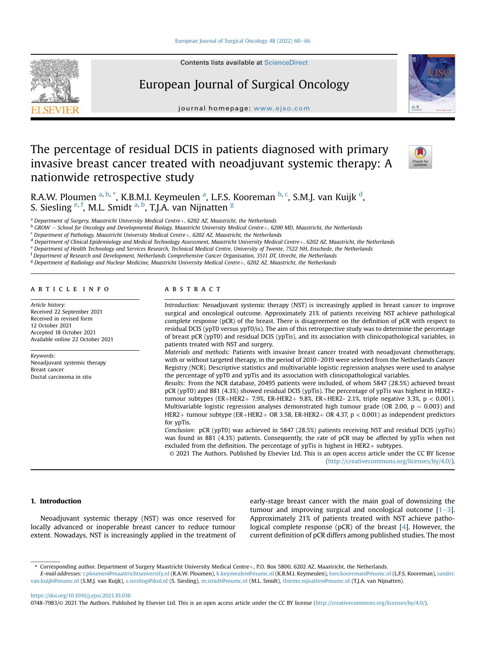# European Journal of Surgical Oncology

journal homepage: <www.ejso.com>

# The percentage of residual DCIS in patients diagnosed with primary invasive breast cancer treated with neoadjuvant systemic therapy: A nationwide retrospective study



R.A.W. Ploumen <sup>[a](#page-0-0), [b](#page-0-1), [\\*](#page-0-2)</sup>, K.B.M.I. Keymeulen <sup>a</sup>, L.F.S. Kooreman <sup>b, [c](#page-0-3)</sup>, S.M.J. van Kuijk <sup>[d](#page-0-4)</sup>, S. Si[e](#page-0-5)sling <sup>e, [f](#page-0-6)</sup>, M.L. Smidt <sup>[a,](#page-0-0) [b](#page-0-1)</sup>, T.J.A. van Nijnatten <sup>[g](#page-0-7)</sup>

<span id="page-0-1"></span>

<span id="page-0-4"></span><span id="page-0-3"></span>

<span id="page-0-0"></span><sup>a</sup> Department of Surgery, Maastricht University Medical Centre+, 6202 AZ, Maastricht, the Netherlands<br><sup>b</sup> GROW – School for Oncology and Developmental Biology, Maastricht University Medical Centre+, 6200 MD, Maastricht,

<span id="page-0-5"></span>

<span id="page-0-6"></span><sup>f</sup> Department of Research and Development, Netherlands Comprehensive Cancer Organisation, 3511 DT, Utrecht, the Netherlands

<span id="page-0-7"></span><sup>g</sup> Department of Radiology and Nuclear Medicine, Maastricht University Medical Centre+, 6202 AZ, Maastricht, the Netherlands

# article info

Article history: Received 22 September 2021 Received in revised form 12 October 2021 Accepted 18 October 2021 Available online 22 October 2021

Keywords: Neoadjuvant systemic therapy Breast cancer Ductal carcinoma in situ

# ABSTRACT

Introduction: Neoadjuvant systemic therapy (NST) is increasingly applied in breast cancer to improve surgical and oncological outcome. Approximately 21% of patients receiving NST achieve pathological complete response (pCR) of the breast. There is disagreement on the definition of pCR with respect to residual DCIS (ypT0 versus ypT0/is). The aim of this retrospective study was to determine the percentage of breast pCR (ypT0) and residual DCIS (ypTis), and its association with clinicopathological variables, in patients treated with NST and surgery.

Materials and methods: Patients with invasive breast cancer treated with neoadjuvant chemotherapy, with or without targeted therapy, in the period of 2010–2019 were selected from the Netherlands Cancer Registry (NCR). Descriptive statistics and multivariable logistic regression analyses were used to analyse the percentage of ypT0 and ypTis and its association with clinicopathological variables.

Results: From the NCR database, 20495 patients were included, of whom 5847 (28.5%) achieved breast pCR (ypT0) and 881 (4.3%) showed residual DCIS (ypTis). The percentage of ypTis was highest in HER2+ tumour subtypes (ER+HER2+ 7.9%, ER-HER2+ 9.8%, ER+HER2- 2.1%, triple negative 3.3%, p < 0.001). Multivariable logistic regression analyses demonstrated high tumour grade (OR 2.00,  $p = 0.003$ ) and HER2+ tumour subtype (ER+HER2+ OR 3.58, ER-HER2+ OR 4.37, p < 0.001) as independent predictors for ypTis.

Conclusion: pCR (ypT0) was achieved in 5847 (28.5%) patients receiving NST and residual DCIS (ypTis) was found in 881 (4.3%) patients. Consequently, the rate of pCR may be affected by ypTis when not excluded from the definition. The percentage of ypTis is highest in HER2 $+$  subtypes.

© 2021 The Authors. Published by Elsevier Ltd. This is an open access article under the CC BY license [\(http://creativecommons.org/licenses/by/4.0/](http://creativecommons.org/licenses/by/4.0/)).

# 1. Introduction

Neoadjuvant systemic therapy (NST) was once reserved for locally advanced or inoperable breast cancer to reduce tumour extent. Nowadays, NST is increasingly applied in the treatment of early-stage breast cancer with the main goal of downsizing the tumour and improving surgical and oncological outcome  $[1-3]$  $[1-3]$  $[1-3]$  $[1-3]$ . Approximately 21% of patients treated with NST achieve pathological complete response (pCR) of the breast [[4\]](#page-5-1). However, the current definition of pCR differs among published studies. The most

<https://doi.org/10.1016/j.ejso.2021.10.016>

0748-7983/© 2021 The Authors. Published by Elsevier Ltd. This is an open access article under the CC BY license [\(http://creativecommons.org/licenses/by/4.0/\)](http://creativecommons.org/licenses/by/4.0/).



<span id="page-0-2"></span><sup>\*</sup> Corresponding author. Department of Surgery Maastricht University Medical Centre+, P.O. Box 5800, 6202 AZ, Maastricht, the Netherlands.

E-mail addresses: [r.ploumen@maastrichtuniversity.nl](mailto:r.ploumen@maastrichtuniversity.nl) (R.A.W. Ploumen), [k.keymeulen@mumc.nl](mailto:k.keymeulen@mumc.nl) (K.B.M.I. Keymeulen), [loes.kooreman@mumc.nl](mailto:loes.kooreman@mumc.nl) (L.F.S. Kooreman), [sander.](mailto:sander.van.kuijk@mumc.nl) [van.kuijk@mumc.nl](mailto:sander.van.kuijk@mumc.nl) (S.M.J. van Kuijk), [s.siesling@iknl.nl](mailto:s.siesling@iknl.nl) (S. Siesling), [m.smidt@mumc.nl](mailto:m.smidt@mumc.nl) (M.L. Smidt), [thiemo.nijnatten@mumc.nl](mailto:thiemo.nijnatten@mumc.nl) (T.J.A. van Nijnatten).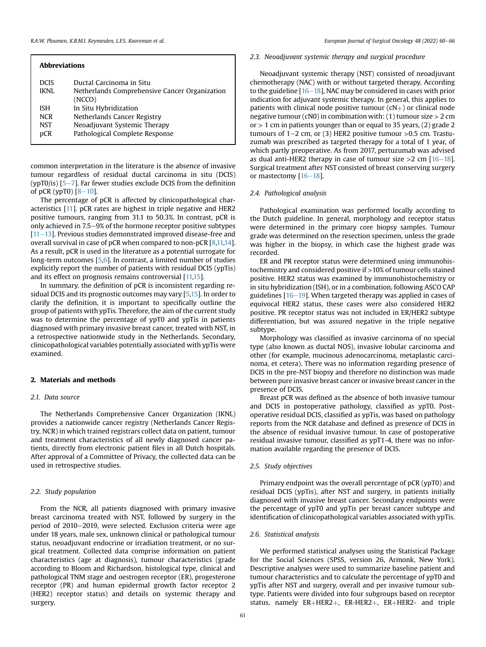| <b>Abbreviations</b> |                                               |  |  |  |
|----------------------|-----------------------------------------------|--|--|--|
| <b>DCIS</b>          | Ductal Carcinoma in Situ                      |  |  |  |
| <b>IKNL</b>          | Netherlands Comprehensive Cancer Organization |  |  |  |
|                      | (NCCO)                                        |  |  |  |
| <b>ISH</b>           | In Situ Hybridization                         |  |  |  |
| <b>NCR</b>           | Netherlands Cancer Registry                   |  |  |  |
| <b>NST</b>           | Neoadjuvant Systemic Therapy                  |  |  |  |
| pCR                  | Pathological Complete Response                |  |  |  |
|                      |                                               |  |  |  |

common interpretation in the literature is the absence of invasive tumour regardless of residual ductal carcinoma in situ (DCIS) (ypT0/is)  $[5-7]$  $[5-7]$  $[5-7]$ . Far fewer studies exclude DCIS from the definition of pCR (ypT0)  $[8-10]$  $[8-10]$  $[8-10]$ .

The percentage of pCR is affected by clinicopathological characteristics [\[11\]](#page-5-4). pCR rates are highest in triple negative and HER2 positive tumours, ranging from 31.1 to 50.3%. In contrast, pCR is only achieved in 7.5–9% of the hormone receptor positive subtypes  $[11–13]$  $[11–13]$  $[11–13]$  $[11–13]$  $[11–13]$ . Previous studies demonstrated improved disease-free and overall survival in case of pCR when compared to non-pCR [[8](#page-5-3)[,11](#page-5-4)[,14\]](#page-6-0). As a result, pCR is used in the literature as a potential surrogate for long-term outcomes [\[5,](#page-5-2)[6\]](#page-5-5). In contrast, a limited number of studies explicitly report the number of patients with residual DCIS (ypTis) and its effect on prognosis remains controversial [[11](#page-5-4)[,15\]](#page-6-1).

In summary, the definition of pCR is inconsistent regarding residual DCIS and its prognostic outcomes may vary [[5](#page-5-2)[,15\]](#page-6-1). In order to clarify the definition, it is important to specifically outline the group of patients with ypTis. Therefore, the aim of the current study was to determine the percentage of ypT0 and ypTis in patients diagnosed with primary invasive breast cancer, treated with NST, in a retrospective nationwide study in the Netherlands. Secondary, clinicopathological variables potentially associated with ypTis were examined.

## 2. Materials and methods

## 2.1. Data source

The Netherlands Comprehensive Cancer Organization (IKNL) provides a nationwide cancer registry (Netherlands Cancer Registry, NCR) in which trained registrars collect data on patient, tumour and treatment characteristics of all newly diagnosed cancer patients, directly from electronic patient files in all Dutch hospitals. After approval of a Committee of Privacy, the collected data can be used in retrospective studies.

#### 2.2. Study population

From the NCR, all patients diagnosed with primary invasive breast carcinoma treated with NST, followed by surgery in the period of 2010-2019, were selected. Exclusion criteria were age under 18 years, male sex, unknown clinical or pathological tumour status, neoadjuvant endocrine or irradiation treatment, or no surgical treatment. Collected data comprise information on patient characteristics (age at diagnosis), tumour characteristics (grade according to Bloom and Richardson, histological type, clinical and pathological TNM stage and oestrogen receptor (ER), progesterone receptor (PR) and human epidermal growth factor receptor 2 (HER2) receptor status) and details on systemic therapy and surgery.

#### 2.3. Neoadjuvant systemic therapy and surgical procedure

Neoadjuvant systemic therapy (NST) consisted of neoadjuvant chemotherapy (NAC) with or without targeted therapy. According to the guideline  $[16-18]$  $[16-18]$  $[16-18]$  $[16-18]$  $[16-18]$ , NAC may be considered in cases with prior indication for adjuvant systemic therapy. In general, this applies to patients with clinical node positive tumour  $(cN+)$  or clinical node negative tumour (cN0) in combination with: (1) tumour size  $> 2$  cm or  $> 1$  cm in patients younger than or equal to 35 years, (2) grade 2 tumours of  $1-2$  cm, or (3) HER2 positive tumour  $>0.5$  cm. Trastuzumab was prescribed as targeted therapy for a total of 1 year, of which partly preoperative. As from 2017, pertuzumab was advised as dual anti-HER2 therapy in case of tumour size  $>2$  cm  $[16-18]$  $[16-18]$  $[16-18]$ . Surgical treatment after NST consisted of breast conserving surgery or mastectomy  $[16-18]$  $[16-18]$  $[16-18]$  $[16-18]$  $[16-18]$ .

#### 2.4. Pathological analysis

Pathological examination was performed locally according to the Dutch guideline. In general, morphology and receptor status were determined in the primary core biopsy samples. Tumour grade was determined on the resection specimen, unless the grade was higher in the biopsy, in which case the highest grade was recorded.

ER and PR receptor status were determined using immunohistochemistry and considered positive if >10% of tumour cells stained positive. HER2 status was examined by immunohistochemistry or in situ hybridization (ISH), or in a combination, following ASCO CAP guidelines  $[16-19]$  $[16-19]$  $[16-19]$  $[16-19]$  $[16-19]$ . When targeted therapy was applied in cases of equivocal HER2 status, these cases were also considered HER2 positive. PR receptor status was not included in ER/HER2 subtype differentiation, but was assured negative in the triple negative subtype.

Morphology was classified as invasive carcinoma of no special type (also known as ductal NOS), invasive lobular carcinoma and other (for example, mucinous adenocarcinoma, metaplastic carcinoma, et cetera). There was no information regarding presence of DCIS in the pre-NST biopsy and therefore no distinction was made between pure invasive breast cancer or invasive breast cancer in the presence of DCIS.

Breast pCR was defined as the absence of both invasive tumour and DCIS in postoperative pathology, classified as ypT0. Postoperative residual DCIS, classified as ypTis, was based on pathology reports from the NCR database and defined as presence of DCIS in the absence of residual invasive tumour. In case of postoperative residual invasive tumour, classified as ypT1-4, there was no information available regarding the presence of DCIS.

#### 2.5. Study objectives

Primary endpoint was the overall percentage of pCR (ypT0) and residual DCIS (ypTis), after NST and surgery, in patients initially diagnosed with invasive breast cancer. Secondary endpoints were the percentage of ypT0 and ypTis per breast cancer subtype and identification of clinicopathological variables associated with ypTis.

#### 2.6. Statistical analysis

We performed statistical analyses using the Statistical Package for the Social Sciences (SPSS, version 26, Armonk, New York). Descriptive analyses were used to summarize baseline patient and tumour characteristics and to calculate the percentage of ypT0 and ypTis after NST and surgery, overall and per invasive tumour subtype. Patients were divided into four subgroups based on receptor status, namely  $ER+HER2+$ ,  $ER+HER2+$ ,  $ER+HER2-$  and triple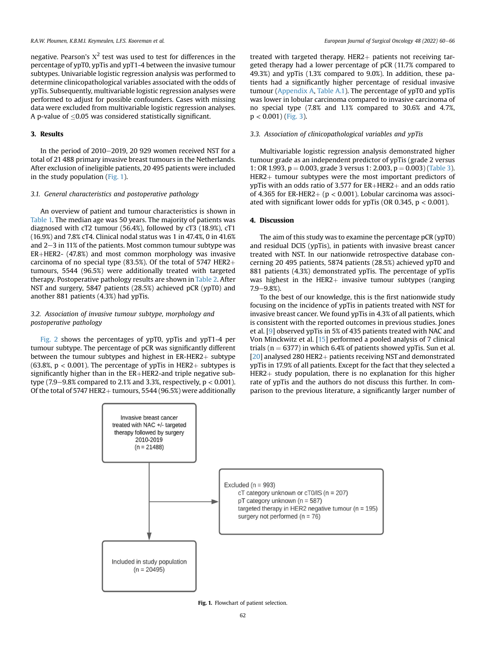negative. Pearson's  $x^2$  test was used to test for differences in the percentage of ypT0, ypTis and ypT1-4 between the invasive tumour subtypes. Univariable logistic regression analysis was performed to determine clinicopathological variables associated with the odds of ypTis. Subsequently, multivariable logistic regression analyses were performed to adjust for possible confounders. Cases with missing data were excluded from multivariable logistic regression analyses. A p-value of  $\leq$ 0.05 was considered statistically significant.

# 3. Results

In the period of  $2010-2019$ , 20 929 women received NST for a total of 21 488 primary invasive breast tumours in the Netherlands. After exclusion of ineligible patients, 20 495 patients were included in the study population [\(Fig. 1\)](#page-2-0).

# 3.1. General characteristics and postoperative pathology

An overview of patient and tumour characteristics is shown in [Table 1.](#page-3-0) The median age was 50 years. The majority of patients was diagnosed with cT2 tumour (56.4%), followed by cT3 (18.9%), cT1 (16.9%) and 7.8% cT4. Clinical nodal status was 1 in 47.4%, 0 in 41.6% and  $2-3$  in 11% of the patients. Most common tumour subtype was  $ER+HER2- (47.8%)$  and most common morphology was invasive carcinoma of no special type (83.5%). Of the total of 5747 HER2 $+$ tumours, 5544 (96.5%) were additionally treated with targeted therapy. Postoperative pathology results are shown in [Table 2](#page-3-1). After NST and surgery, 5847 patients (28.5%) achieved pCR (ypT0) and another 881 patients (4.3%) had ypTis.

# 3.2. Association of invasive tumour subtype, morphology and postoperative pathology

<span id="page-2-0"></span>[Fig. 2](#page-4-0) shows the percentages of ypT0, ypTis and ypT1-4 per tumour subtype. The percentage of pCR was significantly different between the tumour subtypes and highest in  $ER-HER2+$  subtype (63.8%,  $p < 0.001$ ). The percentage of ypTis in HER2+ subtypes is significantly higher than in the  $ER+HER2$ -and triple negative subtype (7.9–9.8% compared to 2.1% and 3.3%, respectively,  $p < 0.001$ ). Of the total of 5747 HER2+ tumours, 5544 (96.5%) were additionally treated with targeted therapy. HER2 $+$  patients not receiving targeted therapy had a lower percentage of pCR (11.7% compared to 49.3%) and ypTis (1.3% compared to 9.0%). In addition, these patients had a significantly higher percentage of residual invasive tumour [\(Appendix A,](#page-5-6) [Table A.1\)](#page-5-7). The percentage of ypT0 and ypTis was lower in lobular carcinoma compared to invasive carcinoma of no special type (7.8% and 1.1% compared to 30.6% and 4.7%,  $p < 0.001$ ) [\(Fig. 3\)](#page-4-1).

# 3.3. Association of clinicopathological variables and ypTis

Multivariable logistic regression analysis demonstrated higher tumour grade as an independent predictor of ypTis (grade 2 versus 1: OR 1.993, p = 0.003, grade 3 versus 1: 2.003, p = 0.003) [\(Table 3\)](#page-5-8).  $HER2+$  tumour subtypes were the most important predictors of ypTis with an odds ratio of 3.577 for  $ER+HER2+$  and an odds ratio of 4.365 for ER-HER2+ ( $p < 0.001$ ). Lobular carcinoma was associated with significant lower odds for ypTis (OR 0.345,  $p < 0.001$ ).

# 4. Discussion

The aim of this study was to examine the percentage pCR (ypT0) and residual DCIS (ypTis), in patients with invasive breast cancer treated with NST. In our nationwide retrospective database concerning 20 495 patients, 5874 patients (28.5%) achieved ypT0 and 881 patients (4.3%) demonstrated ypTis. The percentage of ypTis was highest in the HER2 $+$  invasive tumour subtypes (ranging  $7.9 - 9.8%$ ).

To the best of our knowledge, this is the first nationwide study focusing on the incidence of ypTis in patients treated with NST for invasive breast cancer. We found ypTis in 4.3% of all patients, which is consistent with the reported outcomes in previous studies. Jones et al. [\[9](#page-5-9)] observed ypTis in 5% of 435 patients treated with NAC and Von Minckwitz et al. [\[15](#page-6-1)] performed a pooled analysis of 7 clinical trials ( $n = 6377$ ) in which 6.4% of patients showed ypTis. Sun et al. [ $20$ ] analysed 280 HER2+ patients receiving NST and demonstrated ypTis in 17.9% of all patients. Except for the fact that they selected a  $HER2+ study population, there is no explanation for this higher$ rate of ypTis and the authors do not discuss this further. In comparison to the previous literature, a significantly larger number of



Fig. 1. Flowchart of patient selection.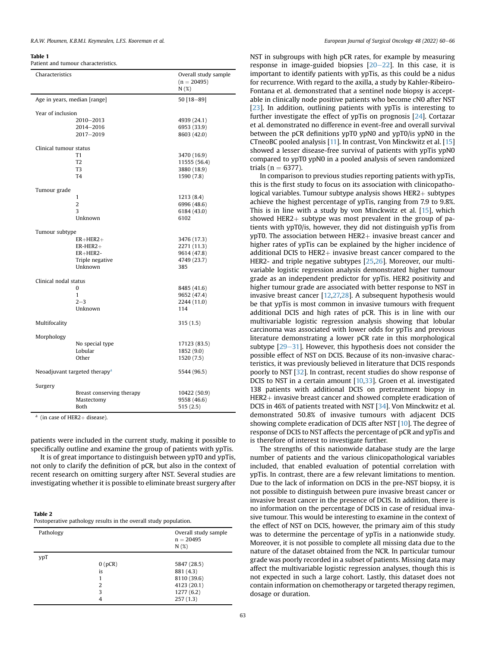#### <span id="page-3-0"></span>Table 1

Patient and tumour characteristics.

| Characteristics        |                                           | Overall study sample<br>$(n = 20495)$<br>N(%) |  |  |
|------------------------|-------------------------------------------|-----------------------------------------------|--|--|
|                        | Age in years, median [range]              | 50 [18-89]                                    |  |  |
| Year of inclusion      |                                           |                                               |  |  |
|                        | 2010-2013                                 | 4939 (24.1)                                   |  |  |
|                        | 2014-2016                                 | 6953 (33.9)                                   |  |  |
|                        | 2017-2019                                 | 8603 (42.0)                                   |  |  |
| Clinical tumour status |                                           |                                               |  |  |
|                        | T1                                        | 3470 (16.9)                                   |  |  |
|                        | T <sub>2</sub>                            | 11555 (56.4)                                  |  |  |
|                        | T <sub>3</sub>                            | 3880 (18.9)                                   |  |  |
|                        | T <sub>4</sub>                            | 1590 (7.8)                                    |  |  |
| Tumour grade           |                                           |                                               |  |  |
|                        | 1                                         | 1213 (8.4)                                    |  |  |
|                        | $\overline{2}$                            | 6996 (48.6)                                   |  |  |
|                        | 3                                         | 6184 (43.0)                                   |  |  |
|                        | Unknown                                   | 6102                                          |  |  |
| Tumour subtype         |                                           |                                               |  |  |
|                        | $ER + HER2 +$                             | 3476 (17.3)                                   |  |  |
|                        | $ER-HER2+$                                | 2271 (11.3)                                   |  |  |
|                        | $ER + HER2 -$                             | 9614 (47.8)                                   |  |  |
|                        | Triple negative<br>Unknown                | 4749 (23.7)<br>385                            |  |  |
|                        |                                           |                                               |  |  |
| Clinical nodal status  |                                           |                                               |  |  |
|                        | 0                                         | 8485 (41.6)                                   |  |  |
|                        | 1                                         | 9652 (47.4)                                   |  |  |
|                        | $2 - 3$<br>Unknown                        | 2244 (11.0)<br>114                            |  |  |
|                        |                                           |                                               |  |  |
| Multifocality          |                                           | 315 (1.5)                                     |  |  |
| Morphology             |                                           |                                               |  |  |
|                        | No special type                           | 17123 (83.5)                                  |  |  |
|                        | Lobular                                   | 1852 (9.0)                                    |  |  |
|                        | Other                                     | 1520 (7.5)                                    |  |  |
|                        | Neoadjuvant targeted therapy <sup>a</sup> | 5544 (96.5)                                   |  |  |
| Surgery                |                                           |                                               |  |  |
|                        | Breast conserving therapy                 | 10422 (50.9)                                  |  |  |
|                        | Mastectomy                                | 9558 (46.6)                                   |  |  |
|                        | <b>Both</b>                               | 515(2.5)                                      |  |  |

<span id="page-3-2"></span> $a$  (in case of HER2+ disease).

patients were included in the current study, making it possible to specifically outline and examine the group of patients with ypTis.

It is of great importance to distinguish between ypT0 and ypTis, not only to clarify the definition of pCR, but also in the context of recent research on omitting surgery after NST. Several studies are investigating whether it is possible to eliminate breast surgery after

<span id="page-3-1"></span>

| Table 2                                                          |
|------------------------------------------------------------------|
| Postoperative pathology results in the overall study population. |

| Pathology |        | Overall study sample<br>$n = 20495$<br>N(%) |
|-----------|--------|---------------------------------------------|
| ypT       |        |                                             |
|           | 0(pCR) | 5847 (28.5)                                 |
|           | is     | 881 (4.3)                                   |
|           |        | 8110 (39.6)                                 |
|           | 2      | 4123 (20.1)                                 |
|           | 3      | 1277(6.2)                                   |
|           | 4      | 257(1.3)                                    |

NST in subgroups with high pCR rates, for example by measuring response in image-guided biopsies  $[20-22]$  $[20-22]$  $[20-22]$  $[20-22]$ . In this case, it is important to identify patients with ypTis, as this could be a nidus for recurrence. With regard to the axilla, a study by Kahler-Ribeiro-Fontana et al. demonstrated that a sentinel node biopsy is acceptable in clinically node positive patients who become cN0 after NST [[23](#page-6-4)]. In addition, outlining patients with ypTis is interesting to further investigate the effect of ypTis on prognosis [[24\]](#page-6-5). Cortazar et al. demonstrated no difference in event-free and overall survival between the pCR definitions ypT0 ypN0 and ypT0/is ypN0 in the CTneoBC pooled analysis [\[11](#page-5-4)]. In contrast, Von Minckwitz et al. [[15\]](#page-6-1) showed a lesser disease-free survival of patients with ypTis ypN0 compared to ypT0 ypN0 in a pooled analysis of seven randomized trials ( $n = 6377$ ).

In comparison to previous studies reporting patients with ypTis, this is the first study to focus on its association with clinicopathological variables. Tumour subtype analysis shows  $HER2 +$  subtypes achieve the highest percentage of ypTis, ranging from 7.9 to 9.8%. This is in line with a study by von Minckwitz et al. [[15\]](#page-6-1), which showed HER2 $+$  subtype was most prevalent in the group of patients with ypT0/is, however, they did not distinguish ypTis from  $v$ pT0. The association between HER2 $+$  invasive breast cancer and higher rates of ypTis can be explained by the higher incidence of additional DCIS to HER2 $+$  invasive breast cancer compared to the HER2- and triple negative subtypes [\[25,](#page-6-6)[26](#page-6-7)]. Moreover, our multivariable logistic regression analysis demonstrated higher tumour grade as an independent predictor for ypTis. HER2 positivity and higher tumour grade are associated with better response to NST in invasive breast cancer [[12,](#page-6-8)[27,](#page-6-9)[28\]](#page-6-10). A subsequent hypothesis would be that ypTis is most common in invasive tumours with frequent additional DCIS and high rates of pCR. This is in line with our multivariable logistic regression analysis showing that lobular carcinoma was associated with lower odds for ypTis and previous literature demonstrating a lower pCR rate in this morphological subtype  $[29-31]$  $[29-31]$  $[29-31]$  $[29-31]$ . However, this hypothesis does not consider the possible effect of NST on DCIS. Because of its non-invasive characteristics, it was previously believed in literature that DCIS responds poorly to NST [\[32\]](#page-6-12). In contrast, recent studies do show response of DCIS to NST in a certain amount [\[10](#page-5-10)[,33\]](#page-6-13). Groen et al. investigated 138 patients with additional DCIS on pretreatment biopsy in  $HER2+$  invasive breast cancer and showed complete eradication of DCIS in 46% of patients treated with NST [[34](#page-6-14)]. Von Minckwitz et al. demonstrated 50.8% of invasive tumours with adjacent DCIS showing complete eradication of DCIS after NST [[10\]](#page-5-10). The degree of response of DCIS to NST affects the percentage of pCR and ypTis and is therefore of interest to investigate further.

The strengths of this nationwide database study are the large number of patients and the various clinicopathological variables included, that enabled evaluation of potential correlation with ypTis. In contrast, there are a few relevant limitations to mention. Due to the lack of information on DCIS in the pre-NST biopsy, it is not possible to distinguish between pure invasive breast cancer or invasive breast cancer in the presence of DCIS. In addition, there is no information on the percentage of DCIS in case of residual invasive tumour. This would be interesting to examine in the context of the effect of NST on DCIS, however, the primary aim of this study was to determine the percentage of ypTis in a nationwide study. Moreover, it is not possible to complete all missing data due to the nature of the dataset obtained from the NCR. In particular tumour grade was poorly recorded in a subset of patients. Missing data may affect the multivariable logistic regression analyses, though this is not expected in such a large cohort. Lastly, this dataset does not contain information on chemotherapy or targeted therapy regimen, dosage or duration.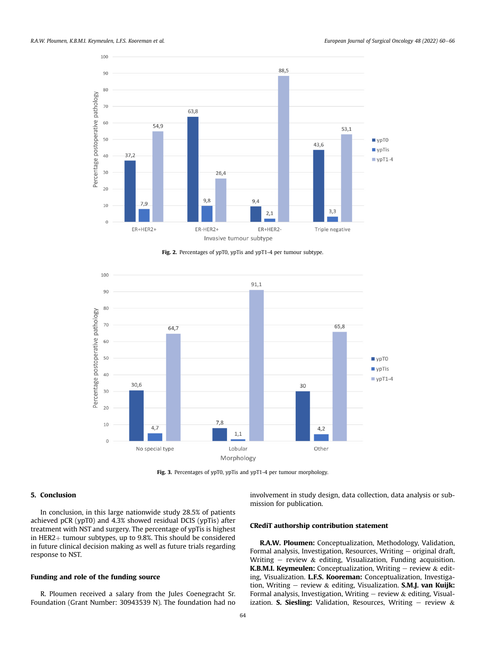<span id="page-4-0"></span>

Fig. 2. Percentages of ypT0, ypTis and ypT1-4 per tumour subtype.

<span id="page-4-1"></span>

Fig. 3. Percentages of ypT0, ypTis and ypT1-4 per tumour morphology.

# 5. Conclusion

In conclusion, in this large nationwide study 28.5% of patients achieved pCR (ypT0) and 4.3% showed residual DCIS (ypTis) after treatment with NST and surgery. The percentage of ypTis is highest in HER2 $+$  tumour subtypes, up to 9.8%. This should be considered in future clinical decision making as well as future trials regarding response to NST.

# Funding and role of the funding source

R. Ploumen received a salary from the Jules Coenegracht Sr. Foundation (Grant Number: 30943539 N). The foundation had no involvement in study design, data collection, data analysis or submission for publication.

#### CRediT authorship contribution statement

R.A.W. Ploumen: Conceptualization, Methodology, Validation, Formal analysis, Investigation, Resources, Writing  $-$  original draft, Writing – review & editing, Visualization, Funding acquisition. K.B.M.I. Keymeulen: Conceptualization, Writing  $-$  review  $\&$  editing, Visualization. L.F.S. Kooreman: Conceptualization, Investigation, Writing – review & editing, Visualization. S.M.J. van Kuijk: Formal analysis, Investigation, Writing  $-$  review & editing, Visualization. S. Siesling: Validation, Resources, Writing  $-$  review &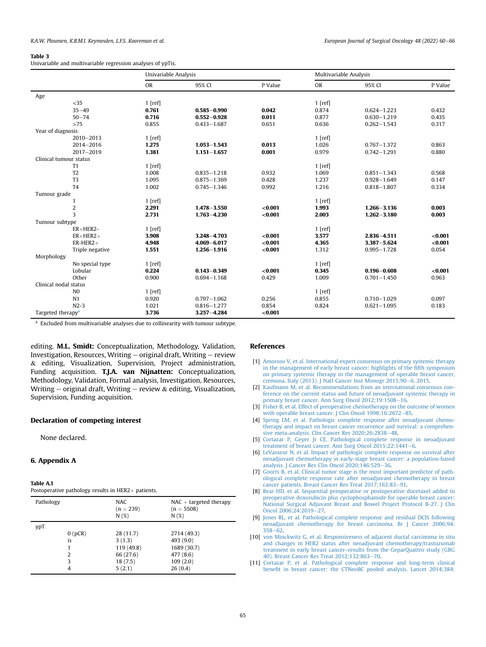#### <span id="page-5-8"></span>Table 3

Univariable and multivariable regression analyses of ypTis.

|                               |                 | Univariable Analysis |                 | Multivariable Analysis |           |                 |         |
|-------------------------------|-----------------|----------------------|-----------------|------------------------|-----------|-----------------|---------|
|                               |                 | <b>OR</b>            | 95% CI          | P Value                | <b>OR</b> | 95% CI          | P Value |
| Age                           |                 |                      |                 |                        |           |                 |         |
|                               | $<$ 35          | $1$ [ref]            |                 |                        | $1$ [ref] |                 |         |
|                               | $35 - 49$       | 0.761                | $0.585 - 0.990$ | 0.042                  | 0.874     | $0.624 - 1.223$ | 0.432   |
|                               | $50 - 74$       | 0.716                | $0.552 - 0.928$ | 0.011                  | 0.877     | $0.630 - 1.219$ | 0.435   |
|                               | >75             | 0.855                | $0.433 - 1.687$ | 0.651                  | 0.636     | $0.262 - 1.543$ | 0.317   |
| Year of diagnosis             |                 |                      |                 |                        |           |                 |         |
|                               | 2010-2013       | $1$ [ref]            |                 |                        | $1$ [ref] |                 |         |
|                               | 2014-2016       | 1.275                | $1.053 - 1.543$ | 0.013                  | 1.026     | $0.767 - 1.372$ | 0.863   |
|                               | 2017-2019       | 1.381                | $1.151 - 1.657$ | 0.001                  | 0.979     | $0.742 - 1.291$ | 0.880   |
| Clinical tumour status        |                 |                      |                 |                        |           |                 |         |
|                               | T1              | $1$ [ref]            |                 |                        | $1$ [ref] |                 |         |
|                               | T <sub>2</sub>  | 1.008                | $0.835 - 1.218$ | 0.932                  | 1.069     | $0.851 - 1.343$ | 0.568   |
|                               | T <sub>3</sub>  | 1.095                | $0.875 - 1.369$ | 0.428                  | 1.237     | $0.928 - 1.649$ | 0.147   |
|                               | T <sub>4</sub>  | 1.002                | $0.745 - 1.346$ | 0.992                  | 1.216     | $0.818 - 1.807$ | 0.334   |
| Tumour grade                  |                 |                      |                 |                        |           |                 |         |
|                               | 1               | $1$ [ref]            |                 |                        | $1$ [ref] |                 |         |
|                               | $\overline{2}$  | 2.291                | $1.478 - 3.550$ | < 0.001                | 1.993     | $1.266 - 3.136$ | 0.003   |
|                               | 3               | 2.731                | $1.763 - 4.230$ | < 0.001                | 2.003     | $1.262 - 3.180$ | 0.003   |
| Tumour subtype                |                 |                      |                 |                        |           |                 |         |
|                               | $ER+HER2-$      | $1$ [ref]            |                 |                        | $1$ [ref] |                 |         |
|                               | $ER+HER2+$      | 3.908                | $3.248 - 4.703$ | < 0.001                | 3.577     | $2.836 - 4.511$ | < 0.001 |
|                               | $ER$ -HER2+     | 4.948                | $4.069 - 6.017$ | < 0.001                | 4.365     | $3.387 - 5.624$ | < 0.001 |
|                               | Triple negative | 1.551                | $1.256 - 1.916$ | < 0.001                | 1.312     | $0.995 - 1.728$ | 0.054   |
| Morphology                    |                 |                      |                 |                        |           |                 |         |
|                               | No special type | $1$ [ref]            |                 |                        | $1$ [ref] |                 |         |
|                               | Lobular         | 0.224                | $0.143 - 0.349$ | < 0.001                | 0.345     | $0.196 - 0.608$ | < 0.001 |
|                               | Other           | 0.900                | $0.694 - 1.168$ | 0.429                  | 1.009     | $0.701 - 1.450$ | 0.963   |
| Clinical nodal status         |                 |                      |                 |                        |           |                 |         |
|                               | N <sub>0</sub>  | $1$ [ref]            |                 |                        | $1$ [ref] |                 |         |
|                               | N <sub>1</sub>  | 0.920                | $0.797 - 1.062$ | 0.256                  | 0.855     | $0.710 - 1.029$ | 0.097   |
|                               | $N2-3$          | 1.021                | $0.816 - 1.277$ | 0.854                  | 0.824     | $0.621 - 1.095$ | 0.183   |
| Targeted therapy <sup>a</sup> |                 | 3.736                | $3.257 - 4.284$ | < 0.001                |           |                 |         |

<span id="page-5-11"></span> $a$  Excluded from multivariable analyses due to collinearity with tumour subtype.

editing. M.L. Smidt: Conceptualization, Methodology, Validation, Investigation, Resources, Writing  $-$  original draft, Writing  $-$  review & editing, Visualization, Supervision, Project administration, Funding acquisition. T.J.A. van Nijnatten: Conceptualization, Methodology, Validation, Formal analysis, Investigation, Resources, Writing  $-$  original draft, Writing  $-$  review & editing, Visualization, Supervision, Funding acquisition.

#### Declaration of competing interest

<span id="page-5-6"></span>None declared.

#### 6. Appendix A

<span id="page-5-7"></span>

| Postoperative pathology results in HER2+ patients. |  |  |
|----------------------------------------------------|--|--|
|----------------------------------------------------|--|--|

| Pathology |        | <b>NAC</b><br>$(n = 239)$<br>N(%) | $NAC + targeted$ therapy<br>$(n = 5508)$<br>N(%) |
|-----------|--------|-----------------------------------|--------------------------------------------------|
| ypT       |        |                                   |                                                  |
|           | 0(pCR) | 28(11.7)                          | 2714 (49.3)                                      |
|           | is     | 3(1.3)                            | 493 (9.0)                                        |
|           |        | 119 (49.8)                        | 1689 (30.7)                                      |
|           | 2      | 66 (27.6)                         | 477 (8.6)                                        |
|           | 3      | 18(7.5)                           | 109(2.0)                                         |
|           | 4      | 5(2.1)                            | 26(0.4)                                          |

#### References

- <span id="page-5-0"></span>[1] [Amoroso V, et al. International expert consensus on primary systemic therapy](http://refhub.elsevier.com/S0748-7983(21)00765-4/sref1) [in the management of early breast cancer: highlights of the](http://refhub.elsevier.com/S0748-7983(21)00765-4/sref1) fifth symposium [on primary systemic therapy in the management of operable breast cancer,](http://refhub.elsevier.com/S0748-7983(21)00765-4/sref1) [cremona, Italy \(2013\). J Natl Cancer Inst Monogr 2015:90](http://refhub.elsevier.com/S0748-7983(21)00765-4/sref1)-[6. 2015](http://refhub.elsevier.com/S0748-7983(21)00765-4/sref1).
- [2] [Kaufmann M, et al. Recommendations from an international consensus con](http://refhub.elsevier.com/S0748-7983(21)00765-4/sref2)[ference on the current status and future of neoadjuvant systemic therapy in](http://refhub.elsevier.com/S0748-7983(21)00765-4/sref2) [primary breast cancer. Ann Surg Oncol 2012;19:1508](http://refhub.elsevier.com/S0748-7983(21)00765-4/sref2)-[16.](http://refhub.elsevier.com/S0748-7983(21)00765-4/sref2)
- [3] [Fisher B, et al. Effect of preoperative chemotherapy on the outcome of women](http://refhub.elsevier.com/S0748-7983(21)00765-4/sref3) [with operable breast cancer. J Clin Oncol 1998;16:2672](http://refhub.elsevier.com/S0748-7983(21)00765-4/sref3)-[85.](http://refhub.elsevier.com/S0748-7983(21)00765-4/sref3)
- <span id="page-5-1"></span>[4] [Spring LM, et al. Pathologic complete response after neoadjuvant chemo](http://refhub.elsevier.com/S0748-7983(21)00765-4/sref4)[therapy and impact on breast cancer recurrence and survival: a comprehen](http://refhub.elsevier.com/S0748-7983(21)00765-4/sref4)[sive meta-analysis. Clin Cancer Res 2020;26:2838](http://refhub.elsevier.com/S0748-7983(21)00765-4/sref4)-[48.](http://refhub.elsevier.com/S0748-7983(21)00765-4/sref4)
- <span id="page-5-2"></span>[5] [Cortazar P, Geyer Jr CE. Pathological complete response in neoadjuvant](http://refhub.elsevier.com/S0748-7983(21)00765-4/sref5) [treatment of breast cancer. Ann Surg Oncol 2015;22:1441](http://refhub.elsevier.com/S0748-7983(21)00765-4/sref5)-[6.](http://refhub.elsevier.com/S0748-7983(21)00765-4/sref5)
- <span id="page-5-5"></span>[6] [LeVasseur N, et al. Impact of pathologic complete response on survival after](http://refhub.elsevier.com/S0748-7983(21)00765-4/sref6) [neoadjuvant chemotherapy in early-stage breast cancer: a population-based](http://refhub.elsevier.com/S0748-7983(21)00765-4/sref6) [analysis. J Cancer Res Clin Oncol 2020;146:529](http://refhub.elsevier.com/S0748-7983(21)00765-4/sref6)-[36.](http://refhub.elsevier.com/S0748-7983(21)00765-4/sref6)
- [7] [Goorts B, et al. Clinical tumor stage is the most important predictor of path](http://refhub.elsevier.com/S0748-7983(21)00765-4/sref7)[ological complete response rate after neoadjuvant chemotherapy in breast](http://refhub.elsevier.com/S0748-7983(21)00765-4/sref7) [cancer patients. Breast Cancer Res Treat 2017;163:83](http://refhub.elsevier.com/S0748-7983(21)00765-4/sref7)-[91](http://refhub.elsevier.com/S0748-7983(21)00765-4/sref7).
- <span id="page-5-3"></span>[8] [Bear HD, et al. Sequential preoperative or postoperative docetaxel added to](http://refhub.elsevier.com/S0748-7983(21)00765-4/sref8) [preoperative doxorubicin plus cyclophosphamide for operable breast cancer:](http://refhub.elsevier.com/S0748-7983(21)00765-4/sref8) [National Surgical Adjuvant Breast and Bowel Project Protocol B-27. J Clin](http://refhub.elsevier.com/S0748-7983(21)00765-4/sref8) [Oncol 2006;24:2019](http://refhub.elsevier.com/S0748-7983(21)00765-4/sref8)-[27](http://refhub.elsevier.com/S0748-7983(21)00765-4/sref8).
- <span id="page-5-9"></span>[9] [Jones RL, et al. Pathological complete response and residual DCIS following](http://refhub.elsevier.com/S0748-7983(21)00765-4/sref9) [neoadjuvant chemotherapy for breast carcinoma. Br J Cancer 2006;94:](http://refhub.elsevier.com/S0748-7983(21)00765-4/sref9)  $358 - 62$  $358 - 62$  $358 - 62$
- <span id="page-5-10"></span>[10] [von Minckwitz G, et al. Responsiveness of adjacent ductal carcinoma in situ](http://refhub.elsevier.com/S0748-7983(21)00765-4/sref10) [and changes in HER2 status after neoadjuvant chemotherapy/trastuzumab](http://refhub.elsevier.com/S0748-7983(21)00765-4/sref10) treatment in early breast cancer–[results from the GeparQuattro study \(GBG](http://refhub.elsevier.com/S0748-7983(21)00765-4/sref10) [40\). Breast Cancer Res Treat 2012;132:863](http://refhub.elsevier.com/S0748-7983(21)00765-4/sref10)-[70.](http://refhub.elsevier.com/S0748-7983(21)00765-4/sref10)
- <span id="page-5-4"></span>[11] [Cortazar P, et al. Pathological complete response and long-term clinical](http://refhub.elsevier.com/S0748-7983(21)00765-4/sref11) benefi[t in breast cancer: the CTNeoBC pooled analysis. Lancet 2014;384:](http://refhub.elsevier.com/S0748-7983(21)00765-4/sref11)